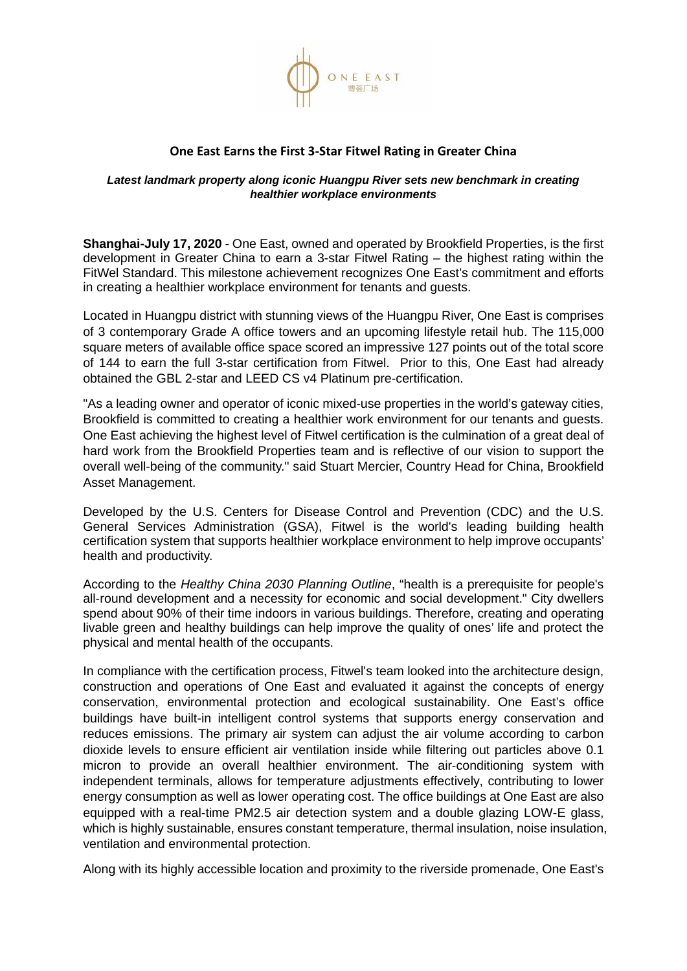

## **One East Earns the First 3-Star Fitwel Rating in Greater China**

## *Latest landmark property along iconic Huangpu River sets new benchmark in creating healthier workplace environments*

**Shanghai-July 17, 2020** - One East, owned and operated by Brookfield Properties, is the first development in Greater China to earn a 3-star Fitwel Rating – the highest rating within the FitWel Standard. This milestone achievement recognizes One East's commitment and efforts in creating a healthier workplace environment for tenants and guests.

Located in Huangpu district with stunning views of the Huangpu River, One East is comprises of 3 contemporary Grade A office towers and an upcoming lifestyle retail hub. The 115,000 square meters of available office space scored an impressive 127 points out of the total score of 144 to earn the full 3-star certification from Fitwel. Prior to this, One East had already obtained the GBL 2-star and LEED CS v4 Platinum pre-certification.

"As a leading owner and operator of iconic mixed-use properties in the world's gateway cities, Brookfield is committed to creating a healthier work environment for our tenants and guests. One East achieving the highest level of Fitwel certification is the culmination of a great deal of hard work from the Brookfield Properties team and is reflective of our vision to support the overall well-being of the community." said Stuart Mercier, Country Head for China, Brookfield Asset Management.

Developed by the U.S. Centers for Disease Control and Prevention (CDC) and the U.S. General Services Administration (GSA), Fitwel is the world's leading building health certification system that supports healthier workplace environment to help improve occupants' health and productivity.

According to the *Healthy China 2030 Planning Outline*, "health is a prerequisite for people's all-round development and a necessity for economic and social development." City dwellers spend about 90% of their time indoors in various buildings. Therefore, creating and operating livable green and healthy buildings can help improve the quality of ones' life and protect the physical and mental health of the occupants.

In compliance with the certification process, Fitwel's team looked into the architecture design, construction and operations of One East and evaluated it against the concepts of energy conservation, environmental protection and ecological sustainability. One East's office buildings have built-in intelligent control systems that supports energy conservation and reduces emissions. The primary air system can adjust the air volume according to carbon dioxide levels to ensure efficient air ventilation inside while filtering out particles above 0.1 micron to provide an overall healthier environment. The air-conditioning system with independent terminals, allows for temperature adjustments effectively, contributing to lower energy consumption as well as lower operating cost. The office buildings at One East are also equipped with a real-time PM2.5 air detection system and a double glazing LOW-E glass, which is highly sustainable, ensures constant temperature, thermal insulation, noise insulation, ventilation and environmental protection.

Along with its highly accessible location and proximity to the riverside promenade, One East's